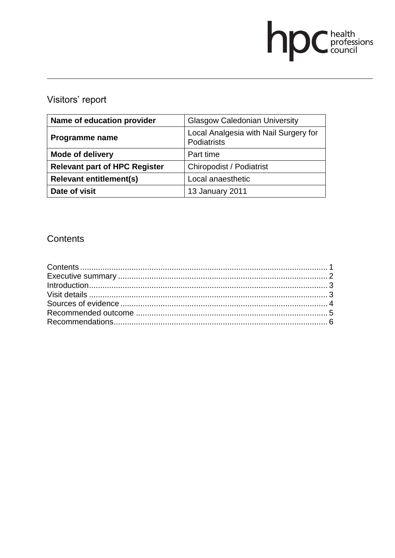# **DC** health<br>council

# Visitors' report

| Name of education provider           | <b>Glasgow Caledonian University</b>                 |
|--------------------------------------|------------------------------------------------------|
| Programme name                       | Local Analgesia with Nail Surgery for<br>Podiatrists |
| <b>Mode of delivery</b>              | Part time                                            |
| <b>Relevant part of HPC Register</b> | <b>Chiropodist / Podiatrist</b>                      |
| <b>Relevant entitlement(s)</b>       | Local anaesthetic                                    |
| Date of visit                        | 13 January 2011                                      |

# **Contents**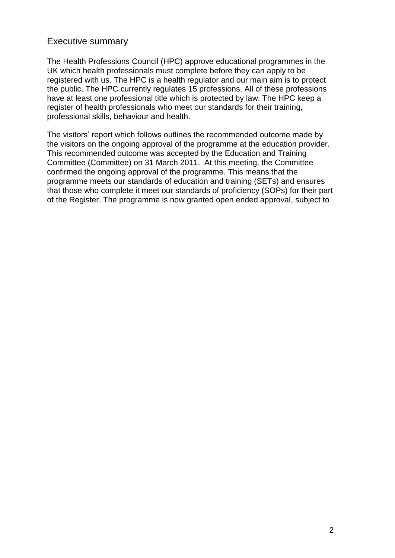# Executive summary

The Health Professions Council (HPC) approve educational programmes in the UK which health professionals must complete before they can apply to be registered with us. The HPC is a health regulator and our main aim is to protect the public. The HPC currently regulates 15 professions. All of these professions have at least one professional title which is protected by law. The HPC keep a register of health professionals who meet our standards for their training, professional skills, behaviour and health.

The visitors' report which follows outlines the recommended outcome made by the visitors on the ongoing approval of the programme at the education provider. This recommended outcome was accepted by the Education and Training Committee (Committee) on 31 March 2011. At this meeting, the Committee confirmed the ongoing approval of the programme. This means that the programme meets our standards of education and training (SETs) and ensures that those who complete it meet our standards of proficiency (SOPs) for their part of the Register. The programme is now granted open ended approval, subject to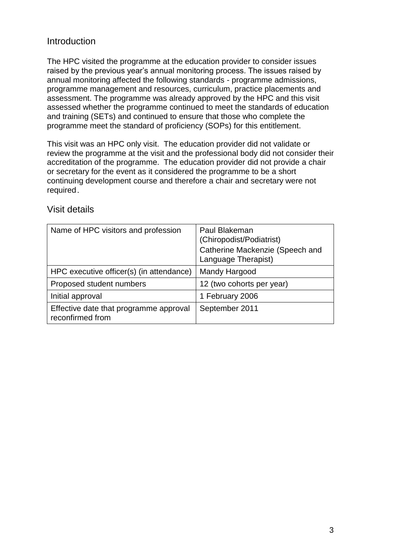# Introduction

The HPC visited the programme at the education provider to consider issues raised by the previous year's annual monitoring process. The issues raised by annual monitoring affected the following standards - programme admissions, programme management and resources, curriculum, practice placements and assessment. The programme was already approved by the HPC and this visit assessed whether the programme continued to meet the standards of education and training (SETs) and continued to ensure that those who complete the programme meet the standard of proficiency (SOPs) for this entitlement.

This visit was an HPC only visit. The education provider did not validate or review the programme at the visit and the professional body did not consider their accreditation of the programme. The education provider did not provide a chair or secretary for the event as it considered the programme to be a short continuing development course and therefore a chair and secretary were not required.

| Name of HPC visitors and profession                        | Paul Blakeman<br>(Chiropodist/Podiatrist)              |
|------------------------------------------------------------|--------------------------------------------------------|
|                                                            | Catherine Mackenzie (Speech and<br>Language Therapist) |
| HPC executive officer(s) (in attendance)                   | Mandy Hargood                                          |
| Proposed student numbers                                   | 12 (two cohorts per year)                              |
| Initial approval                                           | 1 February 2006                                        |
| Effective date that programme approval<br>reconfirmed from | September 2011                                         |

# Visit details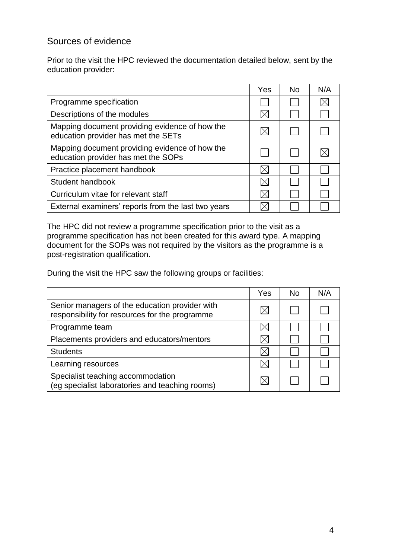# Sources of evidence

Prior to the visit the HPC reviewed the documentation detailed below, sent by the education provider:

|                                                                                       | Yes | <b>No</b> | N/A |
|---------------------------------------------------------------------------------------|-----|-----------|-----|
| Programme specification                                                               |     |           |     |
| Descriptions of the modules                                                           |     |           |     |
| Mapping document providing evidence of how the<br>education provider has met the SETs |     |           |     |
| Mapping document providing evidence of how the<br>education provider has met the SOPs |     |           |     |
| Practice placement handbook                                                           |     |           |     |
| Student handbook                                                                      |     |           |     |
| Curriculum vitae for relevant staff                                                   |     |           |     |
| External examiners' reports from the last two years                                   |     |           |     |

The HPC did not review a programme specification prior to the visit as a programme specification has not been created for this award type. A mapping document for the SOPs was not required by the visitors as the programme is a post-registration qualification.

During the visit the HPC saw the following groups or facilities:

|                                                                                                  | Yes | No. | N/A |
|--------------------------------------------------------------------------------------------------|-----|-----|-----|
| Senior managers of the education provider with<br>responsibility for resources for the programme |     |     |     |
| Programme team                                                                                   |     |     |     |
| Placements providers and educators/mentors                                                       |     |     |     |
| <b>Students</b>                                                                                  |     |     |     |
| Learning resources                                                                               |     |     |     |
| Specialist teaching accommodation<br>(eg specialist laboratories and teaching rooms)             |     |     |     |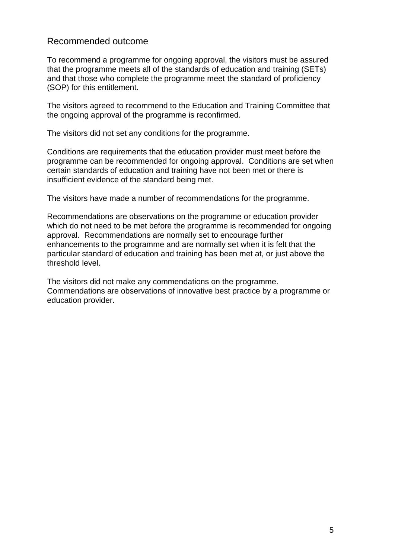# Recommended outcome

To recommend a programme for ongoing approval, the visitors must be assured that the programme meets all of the standards of education and training (SETs) and that those who complete the programme meet the standard of proficiency (SOP) for this entitlement.

The visitors agreed to recommend to the Education and Training Committee that the ongoing approval of the programme is reconfirmed.

The visitors did not set any conditions for the programme.

Conditions are requirements that the education provider must meet before the programme can be recommended for ongoing approval. Conditions are set when certain standards of education and training have not been met or there is insufficient evidence of the standard being met.

The visitors have made a number of recommendations for the programme.

Recommendations are observations on the programme or education provider which do not need to be met before the programme is recommended for ongoing approval. Recommendations are normally set to encourage further enhancements to the programme and are normally set when it is felt that the particular standard of education and training has been met at, or just above the threshold level.

The visitors did not make any commendations on the programme. Commendations are observations of innovative best practice by a programme or education provider.